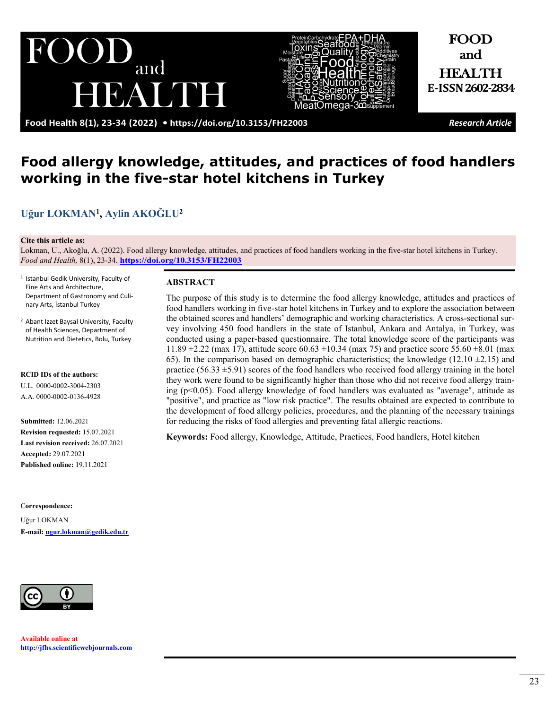EAUDE

and

FOOD and

HEALTH **E-ISSN 2602-2834**

# **Food allergy knowledge, attitudes, and practices of food handlers working in the five-star hotel kitchens in Turkey**

# **[Uğur LOKMAN](https://orcid.org/0000-0002-3004-2303)<sup>1</sup> , Aylin [AKOĞLU](https://orcid.org/0000-0002-0136-4928)<sup>2</sup>**

 $\mathbf{U}$ 

#### **Cite this article as:**

Lokman, U., Akoğlu, A. (2022). Food allergy knowledge, attitudes, and practices of food handlers working in the five-star hotel kitchens in Turkey. *Food and Health,* 8(1), 23-34. **<https://doi.org/10.3153/FH22003>**

- 1 Istanbul Gedik University, Faculty of Fine Arts and Architecture, Department of Gastronomy and Culinary Arts, İstanbul Turkey
- 2 Abant Izzet Baysal University, Faculty of Health Sciences, Department of Nutrition and Dietetics, Bolu, Turkey

**RCID IDs of the authors:** U.L. 0000-0002-3004-2303 A.A. 0000-0002-0136-4928

**Submitted:** 12.06.2021 **Revision requested:** 15.07.2021 **Last revision received:** 26.07.2021 **Accepted:** 29.07.2021 **Published online:** 19.11.2021

C**orrespondence:** 

Uğur LOKMAN **E-mail: [ugur.lokman@gedik.edu.tr](mailto:ugur.lokman@gedik.edu.tr)**



**Available online at [http://jfhs.scientificwebjournals.com](http://jfhs.scientificwebjournals.com/)**

#### **ABSTRACT**

The purpose of this study is to determine the food allergy knowledge, attitudes and practices of food handlers working in five-star hotel kitchens in Turkey and to explore the association between the obtained scores and handlers' demographic and working characteristics. A cross-sectional survey involving 450 food handlers in the state of Istanbul, Ankara and Antalya, in Turkey, was conducted using a paper-based questionnaire. The total knowledge score of the participants was 11.89  $\pm$ 2.22 (max 17), attitude score 60.63  $\pm$ 10.34 (max 75) and practice score 55.60  $\pm$ 8.01 (max 65). In the comparison based on demographic characteristics; the knowledge  $(12.10 \pm 2.15)$  and practice  $(56.33 \pm 5.91)$  scores of the food handlers who received food allergy training in the hotel they work were found to be significantly higher than those who did not receive food allergy training ( $p<0.05$ ). Food allergy knowledge of food handlers was evaluated as "average", attitude as "positive", and practice as "low risk practice". The results obtained are expected to contribute to the development of food allergy policies, procedures, and the planning of the necessary trainings for reducing the risks of food allergies and preventing fatal allergic reactions.

**Keywords:** Food allergy, Knowledge, Attitude, Practices, Food handlers, Hotel kitchen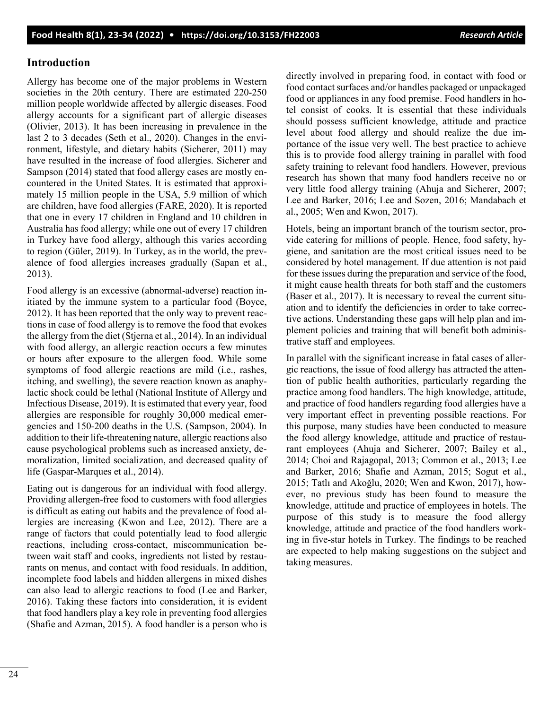### **Introduction**

Allergy has become one of the major problems in Western societies in the 20th century. There are estimated 220-250 million people worldwide affected by allergic diseases. Food allergy accounts for a significant part of allergic diseases (Olivier, 2013). It has been increasing in prevalence in the last 2 to 3 decades (Seth et al., 2020). Changes in the environment, lifestyle, and dietary habits (Sicherer, 2011) may have resulted in the increase of food allergies. Sicherer and Sampson (2014) stated that food allergy cases are mostly encountered in the United States. It is estimated that approximately 15 million people in the USA, 5.9 million of which are children, have food allergies (FARE, 2020). It is reported that one in every 17 children in England and 10 children in Australia has food allergy; while one out of every 17 children in Turkey have food allergy, although this varies according to region (Güler, 2019). In Turkey, as in the world, the prevalence of food allergies increases gradually (Sapan et al., 2013).

Food allergy is an excessive (abnormal-adverse) reaction initiated by the immune system to a particular food (Boyce, 2012). It has been reported that the only way to prevent reactions in case of food allergy is to remove the food that evokes the allergy from the diet (Stjerna et al., 2014). In an individual with food allergy, an allergic reaction occurs a few minutes or hours after exposure to the allergen food. While some symptoms of food allergic reactions are mild (i.e., rashes, itching, and swelling), the severe reaction known as anaphylactic shock could be lethal (National Institute of Allergy and Infectious Disease, 2019). It is estimated that every year, food allergies are responsible for roughly 30,000 medical emergencies and 150-200 deaths in the U.S. (Sampson, 2004). In addition to their life-threatening nature, allergic reactions also cause psychological problems such as increased anxiety, demoralization, limited socialization, and decreased quality of life (Gaspar-Marques et al., 2014).

Eating out is dangerous for an individual with food allergy. Providing allergen-free food to customers with food allergies is difficult as eating out habits and the prevalence of food allergies are increasing (Kwon and Lee, 2012). There are a range of factors that could potentially lead to food allergic reactions, including cross-contact, miscommunication between wait staff and cooks, ingredients not listed by restaurants on menus, and contact with food residuals. In addition, incomplete food labels and hidden allergens in mixed dishes can also lead to allergic reactions to food (Lee and Barker, 2016). Taking these factors into consideration, it is evident that food handlers play a key role in preventing food allergies (Shafie and Azman, 2015). A food handler is a person who is directly involved in preparing food, in contact with food or food contact surfaces and/or handles packaged or unpackaged food or appliances in any food premise. Food handlers in hotel consist of cooks. It is essential that these individuals should possess sufficient knowledge, attitude and practice level about food allergy and should realize the due importance of the issue very well. The best practice to achieve this is to provide food allergy training in parallel with food safety training to relevant food handlers. However, previous research has shown that many food handlers receive no or very little food allergy training (Ahuja and Sicherer, 2007; Lee and Barker, 2016; Lee and Sozen, 2016; Mandabach et al., 2005; Wen and Kwon, 2017).

Hotels, being an important branch of the tourism sector, provide catering for millions of people. Hence, food safety, hygiene, and sanitation are the most critical issues need to be considered by hotel management. If due attention is not paid for these issues during the preparation and service of the food, it might cause health threats for both staff and the customers (Baser et al., 2017). It is necessary to reveal the current situation and to identify the deficiencies in order to take corrective actions. Understanding these gaps will help plan and implement policies and training that will benefit both administrative staff and employees.

In parallel with the significant increase in fatal cases of allergic reactions, the issue of food allergy has attracted the attention of public health authorities, particularly regarding the practice among food handlers. The high knowledge, attitude, and practice of food handlers regarding food allergies have a very important effect in preventing possible reactions. For this purpose, many studies have been conducted to measure the food allergy knowledge, attitude and practice of restaurant employees (Ahuja and Sicherer, 2007; Bailey et al., 2014; Choi and Rajagopal, 2013; Common et al., 2013; Lee and Barker, 2016; Shafie and Azman, 2015; Sogut et al., 2015; Tatlı and Akoğlu, 2020; Wen and Kwon, 2017), however, no previous study has been found to measure the knowledge, attitude and practice of employees in hotels. The purpose of this study is to measure the food allergy knowledge, attitude and practice of the food handlers working in five-star hotels in Turkey. The findings to be reached are expected to help making suggestions on the subject and taking measures.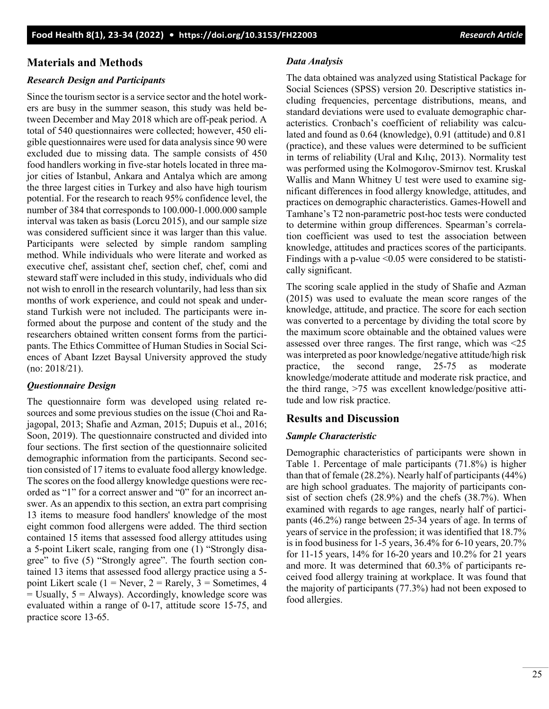# **Materials and Methods**

## *Research Design and Participants*

Since the tourism sector is a service sector and the hotel workers are busy in the summer season, this study was held between December and May 2018 which are off-peak period. A total of 540 questionnaires were collected; however, 450 eligible questionnaires were used for data analysis since 90 were excluded due to missing data. The sample consists of 450 food handlers working in five-star hotels located in three major cities of Istanbul, Ankara and Antalya which are among the three largest cities in Turkey and also have high tourism potential. For the research to reach 95% confidence level, the number of 384 that corresponds to 100.000-1.000.000 sample interval was taken as basis (Lorcu 2015), and our sample size was considered sufficient since it was larger than this value. Participants were selected by simple random sampling method. While individuals who were literate and worked as executive chef, assistant chef, section chef, chef, comi and steward staff were included in this study, individuals who did not wish to enroll in the research voluntarily, had less than six months of work experience, and could not speak and understand Turkish were not included. The participants were informed about the purpose and content of the study and the researchers obtained written consent forms from the participants. The Ethics Committee of Human Studies in Social Sciences of Abant Izzet Baysal University approved the study (no: 2018/21).

## *Questionnaire Design*

The questionnaire form was developed using related resources and some previous studies on the issue (Choi and Rajagopal, 2013; Shafie and Azman, 2015; Dupuis et al., 2016; Soon, 2019). The questionnaire constructed and divided into four sections. The first section of the questionnaire solicited demographic information from the participants. Second section consisted of 17 items to evaluate food allergy knowledge. The scores on the food allergy knowledge questions were recorded as "1" for a correct answer and "0" for an incorrect answer. As an appendix to this section, an extra part comprising 13 items to measure food handlers' knowledge of the most eight common food allergens were added. The third section contained 15 items that assessed food allergy attitudes using a 5-point Likert scale, ranging from one (1) "Strongly disagree" to five (5) "Strongly agree". The fourth section contained 13 items that assessed food allergy practice using a 5 point Likert scale (1 = Never, 2 = Rarely, 3 = Sometimes, 4  $=$  Usually,  $5 =$  Always). Accordingly, knowledge score was evaluated within a range of 0-17, attitude score 15-75, and practice score 13-65.

#### *Data Analysis*

The data obtained was analyzed using Statistical Package for Social Sciences (SPSS) version 20. Descriptive statistics including frequencies, percentage distributions, means, and standard deviations were used to evaluate demographic characteristics. Cronbach's coefficient of reliability was calculated and found as 0.64 (knowledge), 0.91 (attitude) and 0.81 (practice), and these values were determined to be sufficient in terms of reliability (Ural and Kılıç, 2013). Normality test was performed using the Kolmogorov-Smirnov test. Kruskal Wallis and Mann Whitney U test were used to examine significant differences in food allergy knowledge, attitudes, and practices on demographic characteristics. Games-Howell and Tamhane's T2 non-parametric post-hoc tests were conducted to determine within group differences. Spearman's correlation coefficient was used to test the association between knowledge, attitudes and practices scores of the participants. Findings with a p-value  $\leq 0.05$  were considered to be statistically significant.

The scoring scale applied in the study of Shafie and Azman (2015) was used to evaluate the mean score ranges of the knowledge, attitude, and practice. The score for each section was converted to a percentage by dividing the total score by the maximum score obtainable and the obtained values were assessed over three ranges. The first range, which was ˂25 was interpreted as poor knowledge/negative attitude/high risk practice, the second range, 25-75 as moderate knowledge/moderate attitude and moderate risk practice, and the third range, >75 was excellent knowledge/positive attitude and low risk practice.

## **Results and Discussion**

## *Sample Characteristic*

Demographic characteristics of participants were shown in Table 1. Percentage of male participants (71.8%) is higher than that of female (28.2%). Nearly half of participants (44%) are high school graduates. The majority of participants consist of section chefs (28.9%) and the chefs (38.7%). When examined with regards to age ranges, nearly half of participants (46.2%) range between 25-34 years of age. In terms of years of service in the profession; it was identified that 18.7% is in food business for 1-5 years, 36.4% for 6-10 years, 20.7% for 11-15 years, 14% for 16-20 years and 10.2% for 21 years and more. It was determined that 60.3% of participants received food allergy training at workplace. It was found that the majority of participants (77.3%) had not been exposed to food allergies.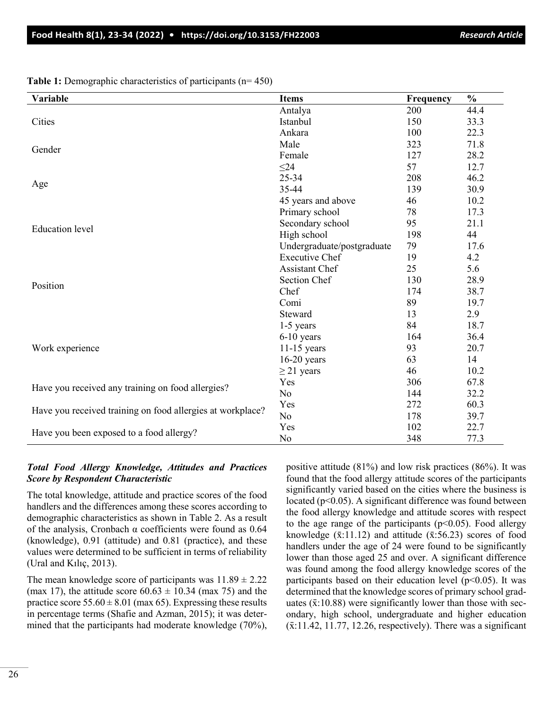**Variable Items Frequency % Cities** Antalya 200 44.4 Istanbul 150 33.3 Ankara 100 22.3 Gender Male 323 71.8<br>Gender Ferrela 323 71.8 Female 127 28.2 Age  $\leq$ 24 57 12.7 25-34 208 46.2 35-44 139 30.9 45 years and above 46 10.2 Education level Primary school 78 17.3 Secondary school 95 21.1 High school 198 44 Undergraduate/postgraduate 79 17.6 Position Executive Chef 19 4.2 Assistant Chef 25 5.6 Section Chef 130 28.9 Chef 174 38.7 Comi 89 19.7 Steward 13 2.9 Work experience 1-5 years 84 18.7 6-10 years 164 36.4 11-15 years 93 20.7 16-20 years 63 14  $\geq$  21 years 46 10.2 Have you received any training on food allergies?<br>
No S2.2 No 144 32.2 Have you received training on food allergies at workplace?  $\frac{Yes}{NQ}$  272 60.3 No 178 39.7 Have you been exposed to a food allergy?<br>  $\begin{array}{ccc}\n\text{Yes} & 102 & 22.7 \\
\text{No} & 348 & 77.3\n\end{array}$ No 348 77.3

**Table 1:** Demographic characteristics of participants (n= 450)

#### *Total Food Allergy Knowledge, Attitudes and Practices Score by Respondent Characteristic*

The total knowledge, attitude and practice scores of the food handlers and the differences among these scores according to demographic characteristics as shown in Table 2. As a result of the analysis, Cronbach  $\alpha$  coefficients were found as 0.64 (knowledge), 0.91 (attitude) and 0.81 (practice), and these values were determined to be sufficient in terms of reliability (Ural and Kılıç, 2013).

The mean knowledge score of participants was  $11.89 \pm 2.22$ (max 17), the attitude score  $60.63 \pm 10.34$  (max 75) and the practice score  $55.60 \pm 8.01$  (max 65). Expressing these results in percentage terms (Shafie and Azman, 2015); it was determined that the participants had moderate knowledge (70%), positive attitude (81%) and low risk practices (86%). It was found that the food allergy attitude scores of the participants significantly varied based on the cities where the business is located ( $p<0.05$ ). A significant difference was found between the food allergy knowledge and attitude scores with respect to the age range of the participants ( $p<0.05$ ). Food allergy knowledge  $(\bar{x}:11.12)$  and attitude  $(\bar{x}:56.23)$  scores of food handlers under the age of 24 were found to be significantly lower than those aged 25 and over. A significant difference was found among the food allergy knowledge scores of the participants based on their education level ( $p$ <0.05). It was determined that the knowledge scores of primary school graduates  $(\bar{x}:10.88)$  were significantly lower than those with secondary, high school, undergraduate and higher education  $(\bar{x}.11.42, 11.77, 12.26,$  respectively). There was a significant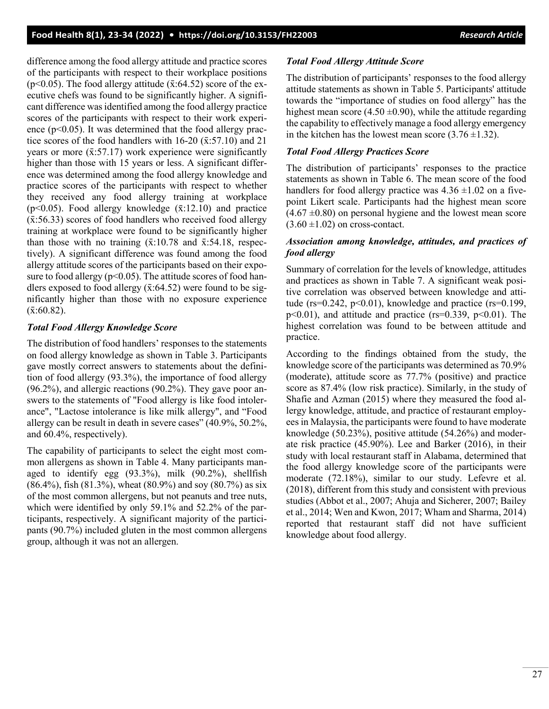difference among the food allergy attitude and practice scores of the participants with respect to their workplace positions ( $p$ <0.05). The food allergy attitude ( $\bar{x}$ :64.52) score of the executive chefs was found to be significantly higher. A significant difference was identified among the food allergy practice scores of the participants with respect to their work experience  $(p<0.05)$ . It was determined that the food allergy practice scores of the food handlers with  $16-20$  ( $\bar{x}$ :57.10) and 21 years or more  $(\bar{x}$ :57.17) work experience were significantly higher than those with 15 years or less. A significant difference was determined among the food allergy knowledge and practice scores of the participants with respect to whether they received any food allergy training at workplace ( $p<0.05$ ). Food allergy knowledge ( $\bar{x}$ :12.10) and practice  $(\bar{x}$ :56.33) scores of food handlers who received food allergy training at workplace were found to be significantly higher than those with no training  $(\bar{x}:10.78$  and  $\bar{x}:54.18$ , respectively). A significant difference was found among the food allergy attitude scores of the participants based on their exposure to food allergy ( $p<0.05$ ). The attitude scores of food handlers exposed to food allergy  $(\bar{x}$ :64.52) were found to be significantly higher than those with no exposure experience  $({\bar{x}}:60.82).$ 

### *Total Food Allergy Knowledge Score*

The distribution of food handlers' responses to the statements on food allergy knowledge as shown in Table 3. Participants gave mostly correct answers to statements about the definition of food allergy (93.3%), the importance of food allergy (96.2%), and allergic reactions (90.2%). They gave poor answers to the statements of "Food allergy is like food intolerance", "Lactose intolerance is like milk allergy", and "Food allergy can be result in death in severe cases" (40.9%, 50.2%, and 60.4%, respectively).

The capability of participants to select the eight most common allergens as shown in Table 4. Many participants managed to identify egg (93.3%), milk (90.2%), shellfish (86.4%), fish (81.3%), wheat (80.9%) and soy (80.7%) as six of the most common allergens, but not peanuts and tree nuts, which were identified by only 59.1% and 52.2% of the participants, respectively. A significant majority of the participants (90.7%) included gluten in the most common allergens group, although it was not an allergen.

### *Total Food Allergy Attitude Score*

The distribution of participants' responses to the food allergy attitude statements as shown in Table 5. Participants' attitude towards the "importance of studies on food allergy" has the highest mean score (4.50  $\pm$ 0.90), while the attitude regarding the capability to effectively manage a food allergy emergency in the kitchen has the lowest mean score  $(3.76 \pm 1.32)$ .

### *Total Food Allergy Practices Score*

The distribution of participants' responses to the practice statements as shown in Table 6. The mean score of the food handlers for food allergy practice was  $4.36 \pm 1.02$  on a fivepoint Likert scale. Participants had the highest mean score  $(4.67 \pm 0.80)$  on personal hygiene and the lowest mean score  $(3.60 \pm 1.02)$  on cross-contact.

### *Association among knowledge, attitudes, and practices of food allergy*

Summary of correlation for the levels of knowledge, attitudes and practices as shown in Table 7. A significant weak positive correlation was observed between knowledge and attitude ( $rs=0.242$ ,  $p<0.01$ ), knowledge and practice ( $rs=0.199$ ,  $p<0.01$ ), and attitude and practice (rs=0.339,  $p<0.01$ ). The highest correlation was found to be between attitude and practice.

According to the findings obtained from the study, the knowledge score of the participants was determined as 70.9% (moderate), attitude score as 77.7% (positive) and practice score as 87.4% (low risk practice). Similarly, in the study of Shafie and Azman (2015) where they measured the food allergy knowledge, attitude, and practice of restaurant employees in Malaysia, the participants were found to have moderate knowledge (50.23%), positive attitude (54.26%) and moderate risk practice (45.90%). Lee and Barker (2016), in their study with local restaurant staff in Alabama, determined that the food allergy knowledge score of the participants were moderate (72.18%), similar to our study. Lefevre et al. (2018), different from this study and consistent with previous studies (Abbot et al., 2007; Ahuja and Sicherer, 2007; Bailey et al., 2014; Wen and Kwon, 2017; Wham and Sharma, 2014) reported that restaurant staff did not have sufficient knowledge about food allergy.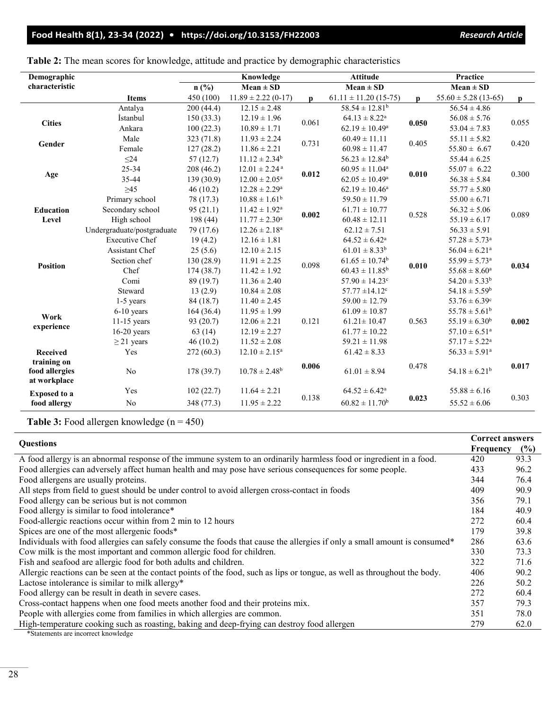| Demographic                                   |                            |            | Knowledge                     |              | <b>Attitude</b>                |              | Practice                      |       |
|-----------------------------------------------|----------------------------|------------|-------------------------------|--------------|--------------------------------|--------------|-------------------------------|-------|
| characteristic                                |                            | n(%)       | $Mean \pm SD$                 |              | $Mean \pm SD$                  |              | $Mean \pm SD$                 |       |
|                                               | <b>Items</b>               | 450 (100)  | $11.89 \pm 2.22$ (0-17)       | $\mathbf{p}$ | $61.11 \pm 11.20$ (15-75)      | $\mathbf{p}$ | $55.60 \pm 5.28$ (13-65)      | p     |
|                                               | Antalya                    | 200(44.4)  | $12.15 \pm 2.48$              |              | $58.54 \pm 12.81^b$            |              | $56.54 \pm 4.86$              |       |
| <b>Cities</b>                                 | İstanbul                   | 150(33.3)  | $12.19 \pm 1.96$              | 0.061        | $64.13 \pm 8.22^a$             | 0.050        | $56.08 \pm 5.76$              | 0.055 |
|                                               | Ankara                     | 100(22.3)  | $10.89 \pm 1.71$              |              | $62.19 \pm 10.49^a$            |              | $53.04 \pm 7.83$              |       |
|                                               | Male                       | 323 (71.8) | $11.93 \pm 2.24$              | 0.731        | $60.49 \pm 11.11$              | 0.405        | $55.11 \pm 5.82$              | 0.420 |
| Gender                                        | Female                     | 127(28.2)  | $11.86 \pm 2.21$              |              | $60.98 \pm 11.47$              |              | $55.80 \pm 6.67$              |       |
|                                               | $\leq$ 24                  | 57(12.7)   | $11.12 \pm 2.34^b$            |              | $56.23 \pm 12.84^b$            |              | $55.44 \pm 6.25$              |       |
|                                               | 25-34                      | 208 (46.2) | $12.01 \pm 2.24$ <sup>a</sup> |              | $60.95 \pm 11.04^a$            |              | $55.07 \pm 6.22$              | 0.300 |
| Age                                           | 35-44                      | 139(30.9)  | $12.00 \pm 2.05^{\text{a}}$   | 0.012        | $62.05 \pm 10.49^{\rm a}$      | 0.010        | $56.38 \pm 5.84$              |       |
|                                               | $\geq45$                   | 46(10.2)   | $12.28 \pm 2.29^a$            |              | $62.19 \pm 10.46^a$            |              | $55.77 \pm 5.80$              |       |
|                                               | Primary school             | 78 (17.3)  | $10.88 \pm 1.61^b$            |              | $59.50 \pm 11.79$              |              | $55.00 \pm 6.71$              | 0.089 |
| <b>Education</b>                              | Secondary school           | 95(21.1)   | $11.42 \pm 1.92^{\text{a}}$   | 0.002        | $61.71 \pm 10.77$              | 0.528        | $56.32 \pm 5.06$              |       |
| Level                                         | High school                | 198 (44)   | $11.77 \pm 2.30^{\text{a}}$   |              | $60.48 \pm 12.11$              |              | $55.19 \pm 6.17$              |       |
|                                               | Undergraduate/postgraduate | 79 (17.6)  | $12.26 \pm 2.18^a$            |              | $62.12 \pm 7.51$               |              | $56.33 \pm 5.91$              |       |
|                                               | <b>Executive Chef</b>      | 19(4.2)    | $12.16 \pm 1.81$              |              | $64.52 \pm 6.42^a$             |              | $57.28 \pm 5.73$ <sup>a</sup> |       |
|                                               | <b>Assistant Chef</b>      | 25(5.6)    | $12.10 \pm 2.15$              |              | $61.01 \pm 8.33^b$             |              | $56.04 \pm 6.21^a$            | 0.034 |
|                                               | Section chef               | 130 (28.9) | $11.91 \pm 2.25$              | 0.098        | $61.65 \pm 10.74$ <sup>b</sup> |              | $55.99 \pm 5.73^{\text{a}}$   |       |
| <b>Position</b>                               | Chef                       | 174(38.7)  | $11.42 \pm 1.92$              |              | $60.43 \pm 11.85^b$            | 0.010        | $55.68 \pm 8.60^a$            |       |
|                                               | Comi                       | 89 (19.7)  | $11.36 \pm 2.40$              |              | $57.90 \pm 14.23$ <sup>c</sup> |              | $54.20 \pm 5.33^b$            |       |
|                                               | Steward                    | 13(2.9)    | $10.84 \pm 2.08$              |              | $57.77 \pm 14.12$ <sup>c</sup> |              | $54.18 \pm 5.59^b$            |       |
|                                               | 1-5 years                  | 84 (18.7)  | $11.40 \pm 2.45$              |              | $59.00 \pm 12.79$              |              | $53.76 \pm 6.39$ <sup>c</sup> |       |
|                                               | $6-10$ years               | 164(36.4)  | $11.95 \pm 1.99$              |              | $61.09 \pm 10.87$              |              | $55.78 \pm 5.61^{\rm b}$      |       |
| Work                                          | $11-15$ years              | 93 (20.7)  | $12.06 \pm 2.21$              | 0.121        | $61.21 \pm 10.47$              | 0.563        | $55.19 \pm 6.30^b$            | 0.002 |
| experience                                    | $16-20$ years              | 63(14)     | $12.19 \pm 2.27$              |              | $61.77 \pm 10.22$              |              | $57.10 \pm 6.51^a$            |       |
|                                               | $\geq$ 21 years            | 46(10.2)   | $11.52 \pm 2.08$              |              | $59.21 \pm 11.98$              |              | $57.17 \pm 5.22^{\text{a}}$   |       |
| Received                                      | Yes                        | 272 (60.3) | $12.10 \pm 2.15^a$            |              | $61.42 \pm 8.33$               |              | $56.33 \pm 5.91^a$            |       |
| training on<br>food allergies<br>at workplace | N <sub>o</sub>             | 178 (39.7) | $10.78 \pm 2.48$ <sup>b</sup> | 0.006        | $61.01 \pm 8.94$               | 0.478        | $54.18 \pm 6.21^b$            | 0.017 |
| <b>Exposed to a</b>                           | Yes                        | 102(22.7)  | $11.64 \pm 2.21$              |              | $64.52 \pm 6.42^a$             |              | $55.88 \pm 6.16$              |       |
| food allergy                                  | No                         | 348 (77.3) | $11.95 \pm 2.22$              | 0.138        | $60.82 \pm 11.70$ <sup>b</sup> | 0.023        | $55.52 \pm 6.06$              | 0.303 |

**Table 2:** The mean scores for knowledge, attitude and practice by demographic characteristics

Table 3: Food allergen knowledge (n = 450)

| <b>Ouestions</b>                                                                                                          | <b>Correct answers</b> |      |
|---------------------------------------------------------------------------------------------------------------------------|------------------------|------|
|                                                                                                                           | Frequency              | (%)  |
| A food allergy is an abnormal response of the immune system to an ordinarily harmless food or ingredient in a food.       | 420                    | 93.3 |
| Food allergies can adversely affect human health and may pose have serious consequences for some people.                  | 433                    | 96.2 |
| Food allergens are usually proteins.                                                                                      | 344                    | 76.4 |
| All steps from field to guest should be under control to avoid allergen cross-contact in foods                            | 409                    | 90.9 |
| Food allergy can be serious but is not common                                                                             | 356                    | 79.1 |
| Food allergy is similar to food intolerance*                                                                              | 184                    | 40.9 |
| Food-allergic reactions occur within from 2 min to 12 hours                                                               | 272                    | 60.4 |
| Spices are one of the most allergenic foods*                                                                              | 179                    | 39.8 |
| Individuals with food allergies can safely consume the foods that cause the allergies if only a small amount is consumed* | 286                    | 63.6 |
| Cow milk is the most important and common allergic food for children.                                                     | 330                    | 73.3 |
| Fish and seafood are allergic food for both adults and children.                                                          | 322                    | 71.6 |
| Allergic reactions can be seen at the contact points of the food, such as lips or tongue, as well as throughout the body. | 406                    | 90.2 |
| Lactose intolerance is similar to milk allergy*                                                                           | 226                    | 50.2 |
| Food allergy can be result in death in severe cases.                                                                      | 272                    | 60.4 |
| Cross-contact happens when one food meets another food and their proteins mix.                                            | 357                    | 79.3 |
| People with allergies come from families in which allergies are common.                                                   | 351                    | 78.0 |
| High-temperature cooking such as roasting, baking and deep-frying can destroy food allergen                               | 279                    | 62.0 |
| *Statements are incorrect knowledge                                                                                       |                        |      |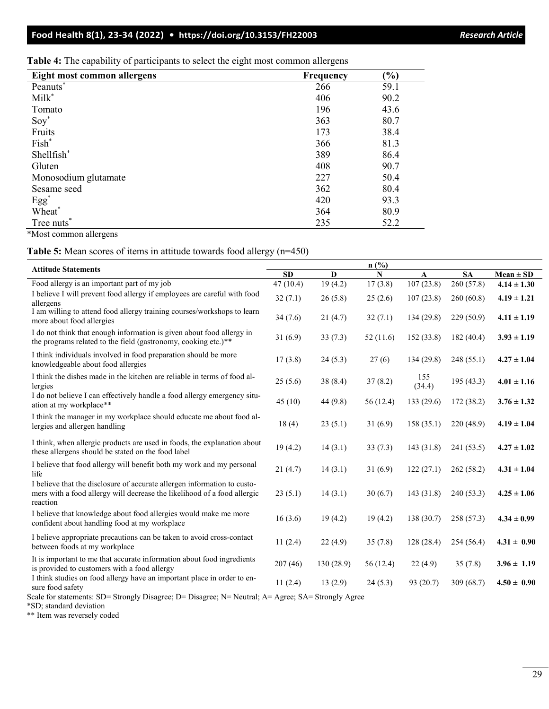**Table 4:** The capability of participants to select the eight most common allergens

| Eight most common allergens | <b>Frequency</b> | $\left( \frac{9}{6} \right)$ |
|-----------------------------|------------------|------------------------------|
| Peanuts*                    | 266              | 59.1                         |
| Milk <sup>*</sup>           | 406              | 90.2                         |
| Tomato                      | 196              | 43.6                         |
| $Soy^*$                     | 363              | 80.7                         |
| Fruits                      | 173              | 38.4                         |
| Fish*                       | 366              | 81.3                         |
| Shellfish*                  | 389              | 86.4                         |
| Gluten                      | 408              | 90.7                         |
| Monosodium glutamate        | 227              | 50.4                         |
| Sesame seed                 | 362              | 80.4                         |
| $Egg^*$                     | 420              | 93.3                         |
| Wheat*                      | 364              | 80.9                         |
| Tree nuts <sup>*</sup>      | 235              | 52.2                         |

\*Most common allergens

#### **Table 5:** Mean scores of items in attitude towards food allergy (n=450)

| <b>Attitude Statements</b>                                                                                                                                       | n(%)     |             |           |               |            |                 |
|------------------------------------------------------------------------------------------------------------------------------------------------------------------|----------|-------------|-----------|---------------|------------|-----------------|
|                                                                                                                                                                  |          | $\mathbf D$ | N         | A             | <b>SA</b>  | $Mean \pm SD$   |
| Food allergy is an important part of my job                                                                                                                      | 47(10.4) | 19(4.2)     | 17(3.8)   | 107(23.8)     | 260 (57.8) | $4.14 \pm 1.30$ |
| I believe I will prevent food allergy if employees are careful with food<br>allergens                                                                            | 32(7.1)  | 26(5.8)     | 25(2.6)   | 107(23.8)     | 260(60.8)  | $4.19 \pm 1.21$ |
| I am willing to attend food allergy training courses/workshops to learn<br>more about food allergies                                                             | 34(7.6)  | 21(4.7)     | 32(7.1)   | 134(29.8)     | 229(50.9)  | $4.11 \pm 1.19$ |
| I do not think that enough information is given about food allergy in<br>the programs related to the field (gastronomy, cooking etc.)**                          | 31(6.9)  | 33(7.3)     | 52(11.6)  | 152(33.8)     | 182(40.4)  | $3.93 \pm 1.19$ |
| I think individuals involved in food preparation should be more<br>knowledgeable about food allergies                                                            | 17(3.8)  | 24(5.3)     | 27(6)     | 134 (29.8)    | 248 (55.1) | $4.27 \pm 1.04$ |
| I think the dishes made in the kitchen are reliable in terms of food al-<br>lergies                                                                              | 25(5.6)  | 38(8.4)     | 37(8.2)   | 155<br>(34.4) | 195(43.3)  | $4.01 \pm 1.16$ |
| I do not believe I can effectively handle a food allergy emergency situ-<br>ation at my workplace**                                                              | 45(10)   | 44 (9.8)    | 56 (12.4) | 133 (29.6)    | 172 (38.2) | $3.76 \pm 1.32$ |
| I think the manager in my workplace should educate me about food al-<br>lergies and allergen handling                                                            | 18(4)    | 23(5.1)     | 31(6.9)   | 158(35.1)     | 220(48.9)  | $4.19 \pm 1.04$ |
| I think, when allergic products are used in foods, the explanation about<br>these allergens should be stated on the food label                                   | 19(4.2)  | 14(3.1)     | 33(7.3)   | 143 (31.8)    | 241 (53.5) | $4.27 \pm 1.02$ |
| I believe that food allergy will benefit both my work and my personal<br>life                                                                                    | 21(4.7)  | 14(3.1)     | 31(6.9)   | 122(27.1)     | 262(58.2)  | $4.31 \pm 1.04$ |
| I believe that the disclosure of accurate allergen information to custo-<br>mers with a food allergy will decrease the likelihood of a food allergic<br>reaction | 23(5.1)  | 14(3.1)     | 30(6.7)   | 143(31.8)     | 240(53.3)  | $4.25 \pm 1.06$ |
| I believe that knowledge about food allergies would make me more<br>confident about handling food at my workplace                                                | 16(3.6)  | 19(4.2)     | 19(4.2)   | 138(30.7)     | 258(57.3)  | $4.34 \pm 0.99$ |
| I believe appropriate precautions can be taken to avoid cross-contact<br>between foods at my workplace                                                           | 11(2.4)  | 22(4.9)     | 35(7.8)   | 128(28.4)     | 254(56.4)  | $4.31 \pm 0.90$ |
| It is important to me that accurate information about food ingredients<br>is provided to customers with a food allergy                                           | 207(46)  | 130 (28.9)  | 56 (12.4) | 22(4.9)       | 35(7.8)    | $3.96 \pm 1.19$ |
| I think studies on food allergy have an important place in order to en-<br>sure food safety                                                                      | 11(2.4)  | 13(2.9)     | 24(5.3)   | 93 (20.7)     | 309(68.7)  | $4.50 \pm 0.90$ |

Scale for statements: SD= Strongly Disagree; D= Disagree; N= Neutral; A= Agree; SA= Strongly Agree

\*SD; standard deviation

\*\* Item was reversely coded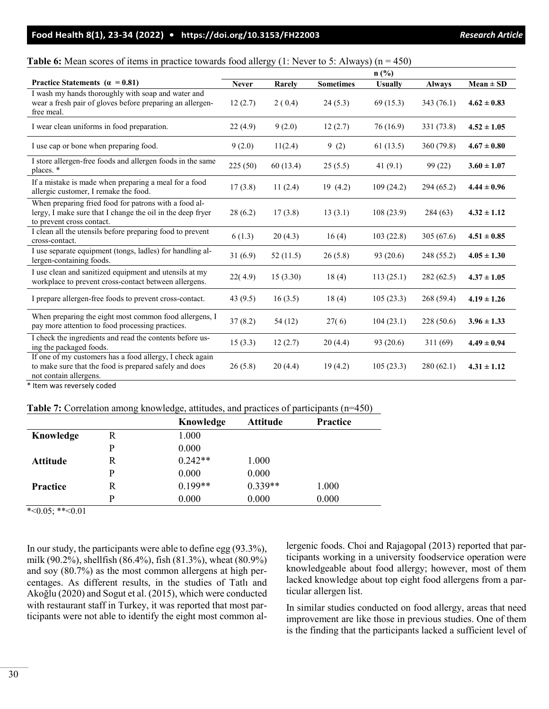| <b>Table 6:</b> Mean scores of items in practice towards food allergy $(1:$ Never to 5: Always) $(n = 450)$ |  |  |  |  |
|-------------------------------------------------------------------------------------------------------------|--|--|--|--|
|-------------------------------------------------------------------------------------------------------------|--|--|--|--|

|                                                                                                                                                  |              |          |                  | $n$ (%)        |               |                 |
|--------------------------------------------------------------------------------------------------------------------------------------------------|--------------|----------|------------------|----------------|---------------|-----------------|
| Practice Statements ( $\alpha = 0.81$ )                                                                                                          | <b>Never</b> | Rarely   | <b>Sometimes</b> | <b>Usually</b> | <b>Always</b> | $Mean \pm SD$   |
| I wash my hands thoroughly with soap and water and<br>wear a fresh pair of gloves before preparing an allergen-<br>free meal.                    | 12(2.7)      | 2(0.4)   | 24(5.3)          | 69(15.3)       | 343 (76.1)    | $4.62 \pm 0.83$ |
| I wear clean uniforms in food preparation.                                                                                                       | 22(4.9)      | 9(2.0)   | 12(2.7)          | 76 (16.9)      | 331 (73.8)    | $4.52 \pm 1.05$ |
| I use cap or bone when preparing food.                                                                                                           | 9(2.0)       | 11(2.4)  | 9(2)             | 61(13.5)       | 360 (79.8)    | $4.67 \pm 0.80$ |
| I store allergen-free foods and allergen foods in the same<br>places. *                                                                          | 225(50)      | 60(13.4) | 25(5.5)          | 41 $(9.1)$     | 99 (22)       | $3.60 \pm 1.07$ |
| If a mistake is made when preparing a meal for a food<br>allergic customer, I remake the food.                                                   | 17(3.8)      | 11(2.4)  | 19(4.2)          | 109(24.2)      | 294 (65.2)    | $4.44 \pm 0.96$ |
| When preparing fried food for patrons with a food al-<br>lergy, I make sure that I change the oil in the deep fryer<br>to prevent cross contact. | 28(6.2)      | 17(3.8)  | 13(3.1)          | 108(23.9)      | 284(63)       | $4.32 \pm 1.12$ |
| I clean all the utensils before preparing food to prevent<br>cross-contact.                                                                      | 6(1.3)       | 20(4.3)  | 16(4)            | 103(22.8)      | 305(67.6)     | $4.51 \pm 0.85$ |
| I use separate equipment (tongs, ladles) for handling al-<br>lergen-containing foods.                                                            | 31(6.9)      | 52(11.5) | 26(5.8)          | 93 (20.6)      | 248 (55.2)    | $4.05 \pm 1.30$ |
| I use clean and sanitized equipment and utensils at my<br>workplace to prevent cross-contact between allergens.                                  | 22(4.9)      | 15(3.30) | 18(4)            | 113(25.1)      | 282 (62.5)    | $4.37 \pm 1.05$ |
| I prepare allergen-free foods to prevent cross-contact.                                                                                          | 43 $(9.5)$   | 16(3.5)  | 18(4)            | 105(23.3)      | 268(59.4)     | $4.19 \pm 1.26$ |
| When preparing the eight most common food allergens, I<br>pay more attention to food processing practices.                                       | 37(8.2)      | 54(12)   | 27(6)            | 104(23.1)      | 228(50.6)     | $3.96 \pm 1.33$ |
| I check the ingredients and read the contents before us-<br>ing the packaged foods.                                                              | 15(3.3)      | 12(2.7)  | 20(4.4)          | 93 (20.6)      | 311(69)       | $4.49 \pm 0.94$ |
| If one of my customers has a food allergy, I check again<br>to make sure that the food is prepared safely and does<br>not contain allergens.     | 26(5.8)      | 20(4.4)  | 19(4.2)          | 105(23.3)      | 280(62.1)     | $4.31 \pm 1.12$ |

\* Item was reversely coded

| Table 7: Correlation among knowledge, attitudes, and practices of participants (n=450) |  |  |  |  |  |
|----------------------------------------------------------------------------------------|--|--|--|--|--|
|----------------------------------------------------------------------------------------|--|--|--|--|--|

|                 |   | Knowledge | <b>Attitude</b> | Practice |  |
|-----------------|---|-----------|-----------------|----------|--|
| Knowledge       | R | 1.000     |                 |          |  |
|                 | р | 0.000     |                 |          |  |
| <b>Attitude</b> | R | $0.242**$ | 1.000           |          |  |
|                 | р | 0.000     | 0.000           |          |  |
| <b>Practice</b> | R | $0.199**$ | $0.339**$       | 1.000    |  |
|                 | D | 0.000     | 0.000           | 0.000    |  |

 $*<0.05$ ; \*\* $<0.01$ 

In our study, the participants were able to define egg (93.3%), milk (90.2%), shellfish (86.4%), fish (81.3%), wheat (80.9%) and soy (80.7%) as the most common allergens at high percentages. As different results, in the studies of Tatlı and Akoğlu (2020) and Sogut et al. (2015), which were conducted with restaurant staff in Turkey, it was reported that most participants were not able to identify the eight most common allergenic foods. Choi and Rajagopal (2013) reported that participants working in a university foodservice operation were knowledgeable about food allergy; however, most of them lacked knowledge about top eight food allergens from a particular allergen list.

In similar studies conducted on food allergy, areas that need improvement are like those in previous studies. One of them is the finding that the participants lacked a sufficient level of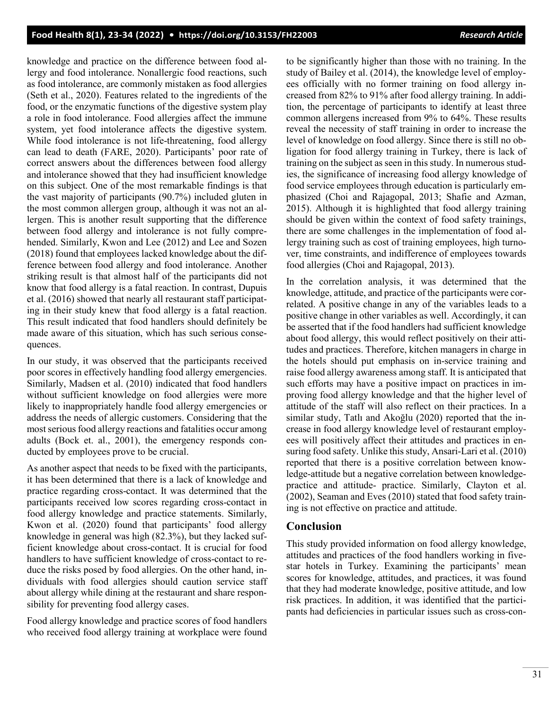knowledge and practice on the difference between food allergy and food intolerance. Nonallergic food reactions, such as food intolerance, are commonly mistaken as food allergies (Seth et al., 2020). Features related to the ingredients of the food, or the enzymatic functions of the digestive system play a role in food intolerance. Food allergies affect the immune system, yet food intolerance affects the digestive system. While food intolerance is not life-threatening, food allergy can lead to death (FARE, 2020). Participants' poor rate of correct answers about the differences between food allergy and intolerance showed that they had insufficient knowledge on this subject. One of the most remarkable findings is that the vast majority of participants (90.7%) included gluten in the most common allergen group, although it was not an allergen. This is another result supporting that the difference between food allergy and intolerance is not fully comprehended. Similarly, Kwon and Lee (2012) and Lee and Sozen (2018) found that employees lacked knowledge about the difference between food allergy and food intolerance. Another striking result is that almost half of the participants did not know that food allergy is a fatal reaction. In contrast, Dupuis et al. (2016) showed that nearly all restaurant staff participating in their study knew that food allergy is a fatal reaction. This result indicated that food handlers should definitely be made aware of this situation, which has such serious consequences.

In our study, it was observed that the participants received poor scores in effectively handling food allergy emergencies. Similarly, Madsen et al. (2010) indicated that food handlers without sufficient knowledge on food allergies were more likely to inappropriately handle food allergy emergencies or address the needs of allergic customers. Considering that the most serious food allergy reactions and fatalities occur among adults (Bock et. al., 2001), the emergency responds conducted by employees prove to be crucial.

As another aspect that needs to be fixed with the participants, it has been determined that there is a lack of knowledge and practice regarding cross-contact. It was determined that the participants received low scores regarding cross-contact in food allergy knowledge and practice statements. Similarly, Kwon et al. (2020) found that participants' food allergy knowledge in general was high (82.3%), but they lacked sufficient knowledge about cross-contact. It is crucial for food handlers to have sufficient knowledge of cross-contact to reduce the risks posed by food allergies. On the other hand, individuals with food allergies should caution service staff about allergy while dining at the restaurant and share responsibility for preventing food allergy cases.

Food allergy knowledge and practice scores of food handlers who received food allergy training at workplace were found to be significantly higher than those with no training. In the study of Bailey et al. (2014), the knowledge level of employees officially with no former training on food allergy increased from 82% to 91% after food allergy training. In addition, the percentage of participants to identify at least three common allergens increased from 9% to 64%. These results reveal the necessity of staff training in order to increase the level of knowledge on food allergy. Since there is still no obligation for food allergy training in Turkey, there is lack of training on the subject as seen in this study. In numerous studies, the significance of increasing food allergy knowledge of food service employees through education is particularly emphasized (Choi and Rajagopal, 2013; Shafie and Azman, 2015). Although it is highlighted that food allergy training should be given within the context of food safety trainings, there are some challenges in the implementation of food allergy training such as cost of training employees, high turnover, time constraints, and indifference of employees towards food allergies (Choi and Rajagopal, 2013).

In the correlation analysis, it was determined that the knowledge, attitude, and practice of the participants were correlated. A positive change in any of the variables leads to a positive change in other variables as well. Accordingly, it can be asserted that if the food handlers had sufficient knowledge about food allergy, this would reflect positively on their attitudes and practices. Therefore, kitchen managers in charge in the hotels should put emphasis on in-service training and raise food allergy awareness among staff. It is anticipated that such efforts may have a positive impact on practices in improving food allergy knowledge and that the higher level of attitude of the staff will also reflect on their practices. In a similar study, Tatlı and Akoğlu (2020) reported that the increase in food allergy knowledge level of restaurant employees will positively affect their attitudes and practices in ensuring food safety. Unlike this study, Ansari-Lari et al. (2010) reported that there is a positive correlation between knowledge-attitude but a negative correlation between knowledgepractice and attitude- practice. Similarly, Clayton et al. (2002), Seaman and Eves (2010) stated that food safety training is not effective on practice and attitude.

#### **Conclusion**

This study provided information on food allergy knowledge, attitudes and practices of the food handlers working in fivestar hotels in Turkey. Examining the participants' mean scores for knowledge, attitudes, and practices, it was found that they had moderate knowledge, positive attitude, and low risk practices. In addition, it was identified that the participants had deficiencies in particular issues such as cross-con-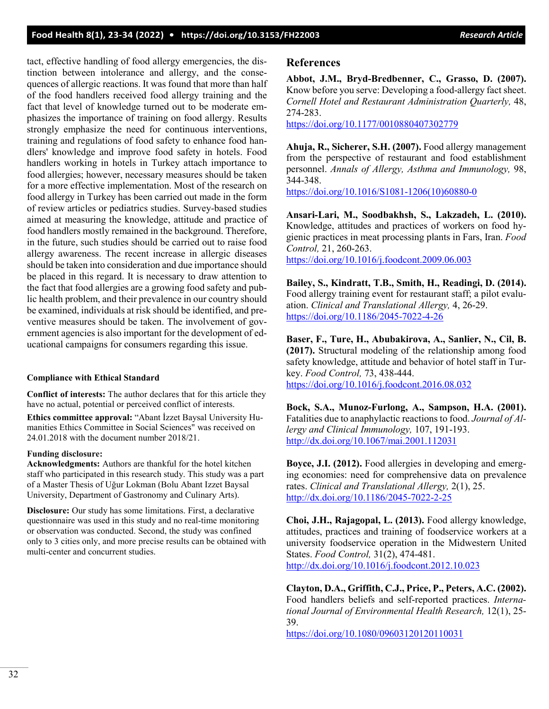tact, effective handling of food allergy emergencies, the distinction between intolerance and allergy, and the consequences of allergic reactions. It was found that more than half of the food handlers received food allergy training and the fact that level of knowledge turned out to be moderate emphasizes the importance of training on food allergy. Results strongly emphasize the need for continuous interventions, training and regulations of food safety to enhance food handlers' knowledge and improve food safety in hotels. Food handlers working in hotels in Turkey attach importance to food allergies; however, necessary measures should be taken for a more effective implementation. Most of the research on food allergy in Turkey has been carried out made in the form of review articles or pediatrics studies. Survey-based studies aimed at measuring the knowledge, attitude and practice of food handlers mostly remained in the background. Therefore, in the future, such studies should be carried out to raise food allergy awareness. The recent increase in allergic diseases should be taken into consideration and due importance should be placed in this regard. It is necessary to draw attention to the fact that food allergies are a growing food safety and public health problem, and their prevalence in our country should be examined, individuals at risk should be identified, and preventive measures should be taken. The involvement of government agencies is also important for the development of educational campaigns for consumers regarding this issue.

#### **Compliance with Ethical Standard**

**Conflict of interests:** The author declares that for this article they have no actual, potential or perceived conflict of interests.

**Ethics committee approval:** "Abant İzzet Baysal University Humanities Ethics Committee in Social Sciences" was received on 24.01.2018 with the document number 2018/21.

#### **Funding disclosure:**

**Acknowledgments:** Authors are thankful for the hotel kitchen staff who participated in this research study. This study was a part of a Master Thesis of Uğur Lokman (Bolu Abant Izzet Baysal University, Department of Gastronomy and Culinary Arts).

**Disclosure:** Our study has some limitations. First, a declarative questionnaire was used in this study and no real-time monitoring or observation was conducted. Second, the study was confined only to 3 cities only, and more precise results can be obtained with multi-center and concurrent studies.

#### **References**

**Abbot, J.M., Bryd-Bredbenner, C., Grasso, D. (2007).** Know before you serve: Developing a food-allergy fact sheet. *Cornell Hotel and Restaurant Administration Quarterly,* 48, 274-283.

<https://doi.org/10.1177/0010880407302779>

**Ahuja, R., Sicherer, S.H. (2007).** Food allergy management from the perspective of restaurant and food establishment personnel. *Annals of Allergy, Asthma and Immunology,* 98, 344-348.

[https://doi.org/10.1016/S1081](https://doi.org/10.1016/S1081-1206(10)60880-0)-1206(10)60880-0

**Ansari-Lari, M., Soodbakhsh, S., Lakzadeh, L. (2010).** Knowledge, attitudes and practices of workers on food hygienic practices in meat processing plants in Fars, Iran. *Food Control,* 21, 260-263.

<https://doi.org/10.1016/j.foodcont.2009.06.003>

**Bailey, S., Kindratt, T.B., Smith, H., Readingi, D. (2014).** Food allergy training event for restaurant staff; a pilot evaluation. *Clinical and Translational Allergy,* 4, 26-29. [https://doi.org/10.1186/2045](https://doi.org/10.1186/2045-7022-4-26)-7022-4-26

**Baser, F., Ture, H., Abubakirova, A., Sanlier, N., Cil, B. (2017).** Structural modeling of the relationship among food safety knowledge, attitude and behavior of hotel staff in Turkey. *Food Control,* 73, 438-444. <https://doi.org/10.1016/j.foodcont.2016.08.032>

**Bock, S.A., Munoz-Furlong, A., Sampson, H.A. (2001).** Fatalities due to anaphylactic reactions to food. *Journal of Allergy and Clinical Immunology,* 107, 191-193. <http://dx.doi.org/10.1067/mai.2001.112031>

**Boyce, J.I. (2012).** Food allergies in developing and emerging economies: need for comprehensive data on prevalence rates. *Clinical and Translational Allergy,* 2(1), 25. [http://dx.doi.org/10.1186/2045](http://dx.doi.org/10.1186/2045-7022-2-25)-7022-2-25

**Choi, J.H., Rajagopal, L. (2013).** Food allergy knowledge, attitudes, practices and training of foodservice workers at a university foodservice operation in the Midwestern United States. *Food Control,* 31(2), 474-481. <http://dx.doi.org/10.1016/j.foodcont.2012.10.023>

**Clayton, D.A., Griffith, C.J., Price, P., Peters, A.C. (2002).** Food handlers beliefs and self-reported practices. *International Journal of Environmental Health Research,* 12(1), 25- 39.

<https://doi.org/10.1080/09603120120110031>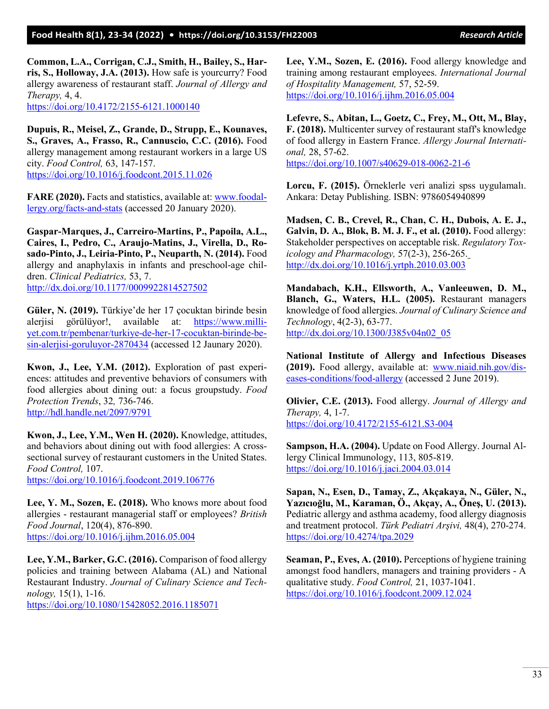**Common, L.A., Corrigan, C.J., Smith, H., Bailey, S., Harris, S., Holloway, J.A. (2013).** How safe is yourcurry? Food allergy awareness of restaurant staff. *Journal of Allergy and Therapy,* 4, 4. [https://doi.org/10.4172/2155](https://doi.org/10.4172/2155-6121.1000140)-6121.1000140

**Dupuis, R., Meisel, Z., Grande, D., Strupp, E., Kounaves, S., Graves, A., Frasso, R., Cannuscio, C.C. (2016).** Food allergy management among restaurant workers in a large US city. *Food Control,* 63, 147-157. <https://doi.org/10.1016/j.foodcont.2015.11.026>

**FARE (2020).** Facts and statistics, available at: [www.foodal](http://www.foodallergy.org/facts-and-stats)[lergy.org/facts](http://www.foodallergy.org/facts-and-stats)-and-stats (accessed 20 January 2020).

**Gaspar-Marques, J., Carreiro-Martins, P., Papoila, A.L., Caires, I., Pedro, C., Araujo-Matins, J., Virella, D., Rosado-Pinto, J., Leiria-Pinto, P., Neuparth, N. (2014).** Food allergy and anaphylaxis in infants and preschool-age children. *Clinical Pediatrics,* 53, 7. <http://dx.doi.org/10.1177/0009922814527502>

**Güler, N. (2019).** Türkiye'de her 17 çocuktan birinde besin aleriisi görülüyor!, available at: [https://www.milli](https://www.milliyet.com.tr/pembenar/turkiye-de-her-17-cocuktan-birinde-besin-alerjisi-goruluyor-2870434)[yet.com.tr/pembenar/turkiye](https://www.milliyet.com.tr/pembenar/turkiye-de-her-17-cocuktan-birinde-besin-alerjisi-goruluyor-2870434)-de-her-17-cocuktan-birinde-besin-alerjisi-[goruluyor](https://www.milliyet.com.tr/pembenar/turkiye-de-her-17-cocuktan-birinde-besin-alerjisi-goruluyor-2870434)-2870434 (accessed 12 Jaunary 2020).

**Kwon, J., Lee, Y.M. (2012).** Exploration of past experiences: attitudes and preventive behaviors of consumers with food allergies about dining out: a focus groupstudy. *Food Protection Trends*, 32*,* 736-746. <http://hdl.handle.net/2097/9791>

**Kwon, J., Lee, Y.M., Wen H. (2020).** Knowledge, attitudes, and behaviors about dining out with food allergies: A crosssectional survey of restaurant customers in the United States. *Food Control,* 107.

<https://doi.org/10.1016/j.foodcont.2019.106776>

**Lee, Y. M., Sozen, E. (2018).** Who knows more about food allergies - restaurant managerial staff or employees? *British Food Journal*, 120(4), 876-890. <https://doi.org/10.1016/j.ijhm.2016.05.004>

**Lee, Y.M., Barker, G.C. (2016).** Comparison of food allergy policies and training between Alabama (AL) and National Restaurant Industry. *Journal of Culinary Science and Technology,* 15(1), 1-16.

<https://doi.org/10.1080/15428052.2016.1185071>

**Lee, Y.M., Sozen, E. (2016).** Food allergy knowledge and training among restaurant employees. *International Journal of Hospitality Management,* 57, 52-59. <https://doi.org/10.1016/j.ijhm.2016.05.004>

**Lefevre, S., Abitan, L., Goetz, C., Frey, M., Ott, M., Blay, F. (2018).** Multicenter survey of restaurant staff's knowledge of food allergy in Eastern France. *Allergy Journal International,* 28, 57-62. [https://doi.org/10.1007/s40629](https://doi.org/10.1007/s40629-018-0062-21-6)-018-0062-21-6

**Lorcu, F. (2015).** Örneklerle veri analizi spss uygulamalı. Ankara: Detay Publishing. ISBN: 9786054940899

**Madsen, C. B., Crevel, R., Chan, C. H., Dubois, A. E. J., Galvin, D. A., Blok, B. M. J. F., et al. (2010).** Food allergy: Stakeholder perspectives on acceptable risk. *Regulatory Toxicology and Pharmacology,* 57(2-3), 256-265. <http://dx.doi.org/10.1016/j.yrtph.2010.03.003>

**Mandabach, K.H., Ellsworth, A., Vanleeuwen, D. M., Blanch, G., Waters, H.L. (2005).** Restaurant managers knowledge of food allergies. *Journal of Culinary Science and Technology*, 4(2-3), 63-77. [http://dx.doi.org/10.1300/J385v04n02\\_05](http://dx.doi.org/10.1300/J385v04n02_05)

**National Institute of Allergy and Infectious Diseases (2019).** Food allergy, available at: [www.niaid.nih.gov/dis](http://www.niaid.nih.gov/diseases-conditions/food-allergy)eases-[conditions/food](http://www.niaid.nih.gov/diseases-conditions/food-allergy)-allergy (accessed 2 June 2019).

**Olivier, C.E. (2013).** Food allergy. *Journal of Allergy and Therapy,* 4, 1-7. [https://doi.org/10.4172/2155](https://doi.org/10.4172/2155-6121.S3-004)-6121.S3-004

**Sampson, H.A. (2004).** Update on Food Allergy. Journal Allergy Clinical Immunology, 113, 805-819. <https://doi.org/10.1016/j.jaci.2004.03.014>

**Sapan, N., Esen, D., Tamay, Z., Akçakaya, N., Güler, N., Yazıcıoğlu, M., Karaman, Ö., Akçay, A., Öneş, U. (2013).** Pediatric allergy and asthma academy, food allergy diagnosis and treatment protocol. *Türk Pediatri Arşivi,* 48(4), 270-274. <https://doi.org/10.4274/tpa.2029>

**Seaman, P., Eves, A. (2010).** Perceptions of hygiene training amongst food handlers, managers and training providers - A qualitative study. *Food Control,* 21, 1037-1041. <https://doi.org/10.1016/j.foodcont.2009.12.024>